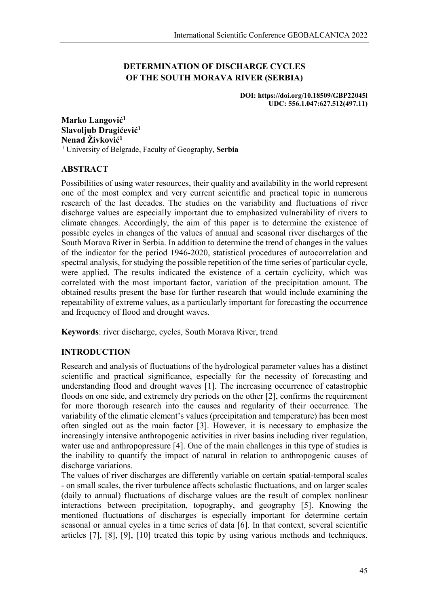# **DETERMINATION OF DISCHARGE CYCLES OF THE SOUTH MORAVA RIVER (SERBIA)**

**DOI: https://doi.org/10.18509/GBP22045l UDC: 556.1.047:627.512(497.11)**

**Marko Langović<sup>1</sup> Slavoljub Dragićević<sup>1</sup> Nenad Živković<sup>1</sup>** <sup>1</sup> University of Belgrade, Faculty of Geography, **Serbia**

## **ABSTRACT**

Possibilities of using water resources, their quality and availability in the world represent one of the most complex and very current scientific and practical topic in numerous research of the last decades. The studies on the variability and fluctuations of river discharge values are especially important due to emphasized vulnerability of rivers to climate changes. Accordingly, the aim of this paper is to determine the existence of possible cycles in changes of the values of annual and seasonal river discharges of the South Morava River in Serbia. In addition to determine the trend of changes in the values of the indicator for the period 1946-2020, statistical procedures of autocorrelation and spectral analysis, for studying the possible repetition of the time series of particular cycle, were applied. The results indicated the existence of a certain cyclicity, which was correlated with the most important factor, variation of the precipitation amount. The obtained results present the base for further research that would include examining the repeatability of extreme values, as a particularly important for forecasting the occurrence and frequency of flood and drought waves.

**Keywords**: river discharge, cycles, South Morava River, trend

## **INTRODUCTION**

Research and analysis of fluctuations of the hydrological parameter values has a distinct scientific and practical significance, especially for the necessity of forecasting and understanding flood and drought waves [1]. The increasing occurrence of catastrophic floods on one side, and extremely dry periods on the other [2], confirms the requirement for more thorough research into the causes and regularity of their occurrence. The variability of the climatic element's values (precipitation and temperature) has been most often singled out as the main factor [3]. However, it is necessary to emphasize the increasingly intensive anthropogenic activities in river basins including river regulation, water use and anthropopressure [4]. One of the main challenges in this type of studies is the inability to quantify the impact of natural in relation to anthropogenic causes of discharge variations.

The values of river discharges are differently variable on certain spatial-temporal scales - on small scales, the river turbulence affects scholastic fluctuations, and on larger scales (daily to annual) fluctuations of discharge values are the result of complex nonlinear interactions between precipitation, topography, and geography [5]. Knowing the mentioned fluctuations of discharges is especially important for determine certain seasonal or annual cycles in a time series of data [6]. In that context, several scientific articles [7], [8], [9], [10] treated this topic by using various methods and techniques.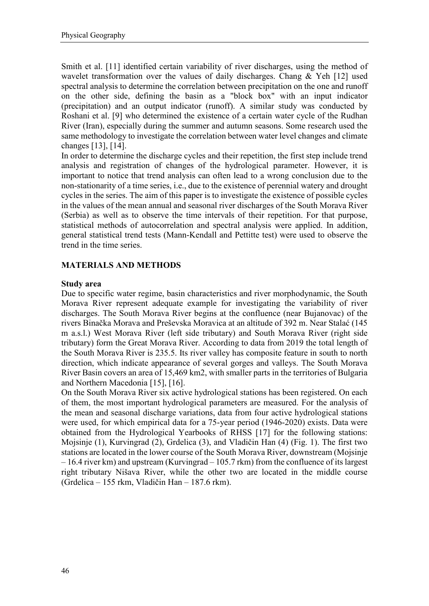Smith et al. [11] identified certain variability of river discharges, using the method of wavelet transformation over the values of daily discharges. Chang & Yeh [12] used spectral analysis to determine the correlation between precipitation on the one and runoff on the other side, defining the basin as a "block box" with an input indicator (precipitation) and an output indicator (runoff). A similar study was conducted by Roshani et al. [9] who determined the existence of a certain water cycle of the Rudhan River (Iran), especially during the summer and autumn seasons. Some research used the same methodology to investigate the correlation between water level changes and climate changes [13], [14].

In order to determine the discharge cycles and their repetition, the first step include trend analysis and registration of changes of the hydrological parameter. However, it is important to notice that trend analysis can often lead to a wrong conclusion due to the non-stationarity of a time series, i.e., due to the existence of perennial watery and drought cycles in the series. The aim of this paper is to investigate the existence of possible cycles in the values of the mean annual and seasonal river discharges of the South Morava River (Serbia) as well as to observe the time intervals of their repetition. For that purpose, statistical methods of autocorrelation and spectral analysis were applied. In addition, general statistical trend tests (Mann-Kendall and Pettitte test) were used to observe the trend in the time series.

# **MATERIALS AND METHODS**

### **Study area**

Due to specific water regime, basin characteristics and river morphodynamic, the South Morava River represent adequate example for investigating the variability of river discharges. The South Morava River begins at the confluence (near Bujanovac) of the rivers Binačka Morava and Preševska Moravica at an altitude of 392 m. Near Stalać (145 m a.s.l.) West Morava River (left side tributary) and South Morava River (right side tributary) form the Great Morava River. According to data from 2019 the total length of the South Morava River is 235.5. Its river valley has composite feature in south to north direction, which indicate appearance of several gorges and valleys. The South Morava River Basin covers an area of 15,469 km2, with smaller parts in the territories of Bulgaria and Northern Macedonia [15], [16].

On the South Morava River six active hydrological stations has been registered. On each of them, the most important hydrological parameters are measured. For the analysis of the mean and seasonal discharge variations, data from four active hydrological stations were used, for which empirical data for a 75-year period (1946-2020) exists. Data were obtained from the Hydrological Yearbooks of RHSS [17] for the following stations: Mojsinje (1), Kurvingrad (2), Grdelica (3), and Vladičin Han (4) (Fig. 1). The first two stations are located in the lower course of the South Morava River, downstream (Mojsinje – 16.4 river km) and upstream (Kurvingrad – 105.7 rkm) from the confluence of its largest right tributary Nišava River, while the other two are located in the middle course (Grdelica – 155 rkm, Vladičin Han – 187.6 rkm).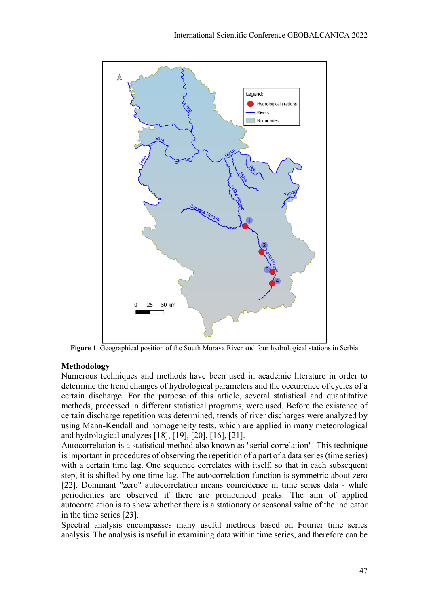

**Figure 1**. Geographical position of the South Morava River and four hydrological stations in Serbia

## **Methodology**

Numerous techniques and methods have been used in academic literature in order to determine the trend changes of hydrological parameters and the occurrence of cycles of a certain discharge. For the purpose of this article, several statistical and quantitative methods, processed in different statistical programs, were used. Before the existence of certain discharge repetition was determined, trends of river discharges were analyzed by using Mann-Kendall and homogeneity tests, which are applied in many meteorological and hydrological analyzes [18], [19], [20], [16], [21].

Autocorrelation is a statistical method also known as "serial correlation". This technique is important in procedures of observing the repetition of a part of a data series (time series) with a certain time lag. One sequence correlates with itself, so that in each subsequent step, it is shifted by one time lag. The autocorrelation function is symmetric about zero [22]. Dominant "zero" autocorrelation means coincidence in time series data - while periodicities are observed if there are pronounced peaks. The aim of applied autocorrelation is to show whether there is a stationary or seasonal value of the indicator in the time series [23].

Spectral analysis encompasses many useful methods based on Fourier time series analysis. The analysis is useful in examining data within time series, and therefore can be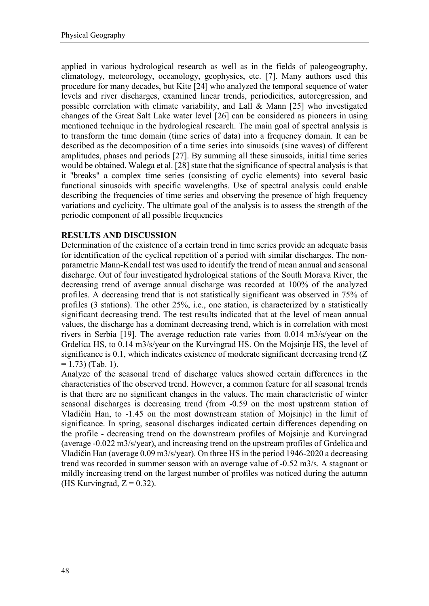applied in various hydrological research as well as in the fields of paleogeography, climatology, meteorology, oceanology, geophysics, etc. [7]. Many authors used this procedure for many decades, but Kite [24] who analyzed the temporal sequence of water levels and river discharges, examined linear trends, periodicities, autoregression, and possible correlation with climate variability, and Lall & Mann [25] who investigated changes of the Great Salt Lake water level [26] can be considered as pioneers in using mentioned technique in the hydrological research. The main goal of spectral analysis is to transform the time domain (time series of data) into a frequency domain. It can be described as the decomposition of a time series into sinusoids (sine waves) of different amplitudes, phases and periods [27]. By summing all these sinusoids, initial time series would be obtained. Walega et al. [28] state that the significance of spectral analysis is that it "breaks" a complex time series (consisting of cyclic elements) into several basic functional sinusoids with specific wavelengths. Use of spectral analysis could enable describing the frequencies of time series and observing the presence of high frequency variations and cyclicity. The ultimate goal of the analysis is to assess the strength of the periodic component of all possible frequencies

## **RESULTS AND DISCUSSION**

Determination of the existence of a certain trend in time series provide an adequate basis for identification of the cyclical repetition of a period with similar discharges. The nonparametric Mann-Kendall test was used to identify the trend of mean annual and seasonal discharge. Out of four investigated hydrological stations of the South Morava River, the decreasing trend of average annual discharge was recorded at 100% of the analyzed profiles. A decreasing trend that is not statistically significant was observed in 75% of profiles (3 stations). The other 25%, i.e., one station, is characterized by a statistically significant decreasing trend. The test results indicated that at the level of mean annual values, the discharge has a dominant decreasing trend, which is in correlation with most rivers in Serbia [19]. The average reduction rate varies from 0.014 m3/s/year on the Grdelica HS, to 0.14 m3/s/year on the Kurvingrad HS. On the Mojsinje HS, the level of significance is 0.1, which indicates existence of moderate significant decreasing trend (Z)  $= 1.73$ ) (Tab. 1).

Analyze of the seasonal trend of discharge values showed certain differences in the characteristics of the observed trend. However, a common feature for all seasonal trends is that there are no significant changes in the values. The main characteristic of winter seasonal discharges is decreasing trend (from -0.59 on the most upstream station of Vladičin Han, to -1.45 on the most downstream station of Mojsinje) in the limit of significance. In spring, seasonal discharges indicated certain differences depending on the profile - decreasing trend on the downstream profiles of Mojsinje and Kurvingrad (average -0.022 m3/s/year), and increasing trend on the upstream profiles of Grdelica and Vladičin Han (average 0.09 m3/s/year). On three HS in the period 1946-2020 a decreasing trend was recorded in summer season with an average value of -0.52 m3/s. A stagnant or mildly increasing trend on the largest number of profiles was noticed during the autumn (HS Kurvingrad,  $Z = 0.32$ ).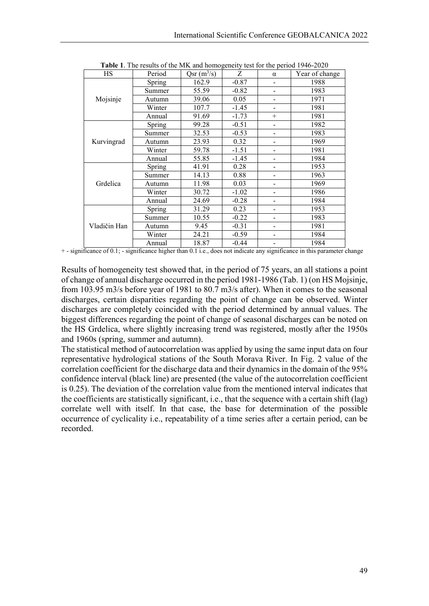| <b>HS</b>    | $\frac{1}{2}$ . The results of the fifth und homogeneity test for the period 1940 $\pm$ 020<br>Period | $Qsr(m^3/s)$ | Z       | $\alpha$                 | Year of change |
|--------------|-------------------------------------------------------------------------------------------------------|--------------|---------|--------------------------|----------------|
| Mojsinje     | Spring                                                                                                | 162.9        | $-0.87$ | -                        | 1988           |
|              | Summer                                                                                                | 55.59        | $-0.82$ |                          | 1983           |
|              | Autumn                                                                                                | 39.06        | 0.05    |                          | 1971           |
|              | Winter                                                                                                | 107.7        | $-1.45$ |                          | 1981           |
|              | Annual                                                                                                | 91.69        | $-1.73$ | $^{+}$                   | 1981           |
| Kurvingrad   | Spring                                                                                                | 99.28        | $-0.51$ |                          | 1982           |
|              | Summer                                                                                                | 32.53        | $-0.53$ |                          | 1983           |
|              | Autumn                                                                                                | 23.93        | 0.32    |                          | 1969           |
|              | Winter                                                                                                | 59.78        | $-1.51$ |                          | 1981           |
|              | Annual                                                                                                | 55.85        | $-1.45$ | $\overline{\phantom{0}}$ | 1984           |
| Grdelica     | Spring                                                                                                | 41.91        | 0.28    |                          | 1953           |
|              | Summer                                                                                                | 14.13        | 0.88    |                          | 1963           |
|              | Autumn                                                                                                | 11.98        | 0.03    |                          | 1969           |
|              | Winter                                                                                                | 30.72        | $-1.02$ | $\overline{\phantom{0}}$ | 1986           |
|              | Annual                                                                                                | 24.69        | $-0.28$ |                          | 1984           |
| Vladičin Han | Spring                                                                                                | 31.29        | 0.23    |                          | 1953           |
|              | Summer                                                                                                | 10.55        | $-0.22$ |                          | 1983           |
|              | Autumn                                                                                                | 9.45         | $-0.31$ | $\overline{\phantom{0}}$ | 1981           |
|              | Winter                                                                                                | 24.21        | $-0.59$ |                          | 1984           |
|              | Annual                                                                                                | 18.87        | $-0.44$ |                          | 1984           |

**Table 1**. The results of the MK and homogeneity test for the period 1946-2020

+ - significance of 0.1; - significance higher than 0.1 i.e., does not indicate any significance in this parameter change

Results of homogeneity test showed that, in the period of 75 years, an all stations a point of change of annual discharge occurred in the period 1981-1986 (Tab. 1) (on HS Mojsinje, from 103.95 m3/s before year of 1981 to 80.7 m3/s after). When it comes to the seasonal discharges, certain disparities regarding the point of change can be observed. Winter discharges are completely coincided with the period determined by annual values. The biggest differences regarding the point of change of seasonal discharges can be noted on the HS Grdelica, where slightly increasing trend was registered, mostly after the 1950s and 1960s (spring, summer and autumn).

The statistical method of autocorrelation was applied by using the same input data on four representative hydrological stations of the South Morava River. In Fig. 2 value of the correlation coefficient for the discharge data and their dynamics in the domain of the 95% confidence interval (black line) are presented (the value of the autocorrelation coefficient is 0.25). The deviation of the correlation value from the mentioned interval indicates that the coefficients are statistically significant, i.e., that the sequence with a certain shift (lag) correlate well with itself. In that case, the base for determination of the possible occurrence of cyclicality i.e., repeatability of a time series after a certain period, can be recorded.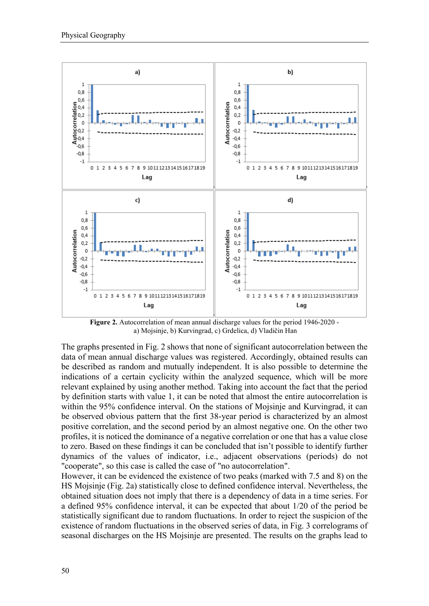

**Figure 2.** Autocorrelation of mean annual discharge values for the period 1946-2020 а) Mojsinje, b) Kurvingrad, c) Grdelica, d) Vladičin Han

The graphs presented in Fig. 2 shows that none of significant autocorrelation between the data of mean annual discharge values was registered. Accordingly, obtained results can be described as random and mutually independent. It is also possible to determine the indications of a certain cyclicity within the analyzed sequence, which will be more relevant explained by using another method. Taking into account the fact that the period by definition starts with value 1, it can be noted that almost the entire autocorrelation is within the 95% confidence interval. On the stations of Mojsinje and Kurvingrad, it can be observed obvious pattern that the first 38-year period is characterized by an almost positive correlation, and the second period by an almost negative one. On the other two profiles, it is noticed the dominance of a negative correlation or one that has a value close to zero. Based on these findings it can be concluded that isn't possible to identify further dynamics of the values of indicator, i.e., adjacent observations (periods) do not "cooperate", so this case is called the case of "no autocorrelation".

However, it can be evidenced the existence of two peaks (marked with 7.5 and 8) on the HS Mojsinje (Fig. 2a) statistically close to defined confidence interval. Nevertheless, the obtained situation does not imply that there is a dependency of data in a time series. For a defined 95% confidence interval, it can be expected that about 1/20 of the period be statistically significant due to random fluctuations. In order to reject the suspicion of the existence of random fluctuations in the observed series of data, in Fig. 3 correlograms of seasonal discharges on the HS Mojsinje are presented. The results on the graphs lead to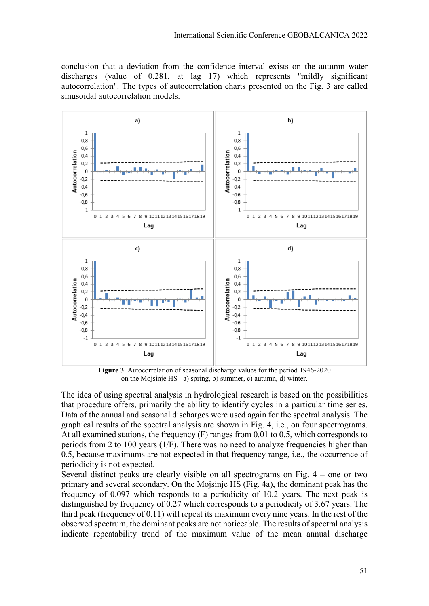conclusion that a deviation from the confidence interval exists on the autumn water discharges (value of 0.281, at lag 17) which represents "mildly significant autocorrelation". The types of autocorrelation charts presented on the Fig. 3 are called sinusoidal autocorrelation models.



**Figure 3**. Autocorrelation of seasonal discharge values for the period 1946-2020 on the Mojsinje HS - а) spring, b) summer, c) autumn, d) winter.

The idea of using spectral analysis in hydrological research is based on the possibilities that procedure offers, primarily the ability to identify cycles in a particular time series. Data of the annual and seasonal discharges were used again for the spectral analysis. The graphical results of the spectral analysis are shown in Fig. 4, i.e., on four spectrograms. At all examined stations, the frequency (F) ranges from 0.01 to 0.5, which corresponds to periods from 2 to 100 years (1/F). There was no need to analyze frequencies higher than 0.5, because maximums are not expected in that frequency range, i.e., the occurrence of periodicity is not expected.

Several distinct peaks are clearly visible on all spectrograms on Fig. 4 – one or two primary and several secondary. On the Mojsinje HS (Fig. 4a), the dominant peak has the frequency of 0.097 which responds to a periodicity of 10.2 years. The next peak is distinguished by frequency of 0.27 which corresponds to a periodicity of 3.67 years. The third peak (frequency of 0.11) will repeat its maximum every nine years. In the rest of the observed spectrum, the dominant peaks are not noticeable. The results of spectral analysis indicate repeatability trend of the maximum value of the mean annual discharge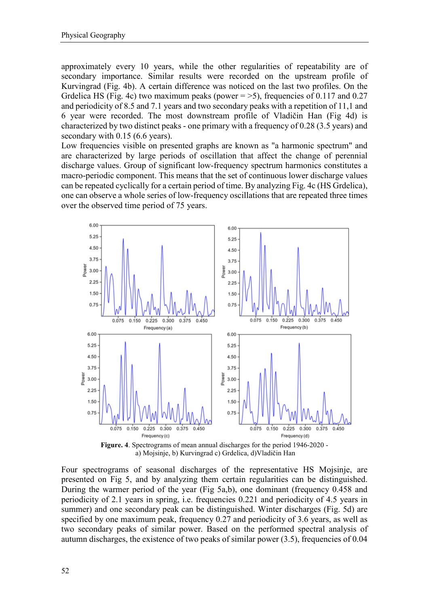approximately every 10 years, while the other regularities of repeatability are of secondary importance. Similar results were recorded on the upstream profile of Kurvingrad (Fig. 4b). A certain difference was noticed on the last two profiles. On the Grdelica HS (Fig. 4c) two maximum peaks (power  $=$  >5), frequencies of 0.117 and 0.27 and periodicity of 8.5 and 7.1 years and two secondary peaks with a repetition of 11,1 and 6 year were recorded. The most downstream profile of Vladičin Han (Fig 4d) is characterized by two distinct peaks - one primary with a frequency of 0.28 (3.5 years) and secondary with 0.15 (6.6 years).

Low frequencies visible on presented graphs are known as "a harmonic spectrum" and are characterized by large periods of oscillation that affect the change of perennial discharge values. Group of significant low-frequency spectrum harmonics constitutes a macro-periodic component. This means that the set of continuous lower discharge values can be repeated cyclically for a certain period of time. By analyzing Fig. 4c (HS Grdelica), one can observe a whole series of low-frequency oscillations that are repeated three times over the observed time period of 75 years.



а) Mojsinje, b) Kurvingrad c) Grdelica, d)Vladičin Han

Four spectrograms of seasonal discharges of the representative HS Mojsinje, are presented on Fig 5, and by analyzing them certain regularities can be distinguished. During the warmer period of the year (Fig 5a,b), one dominant (frequency 0.458 and periodicity of 2.1 years in spring, i.e. frequencies 0.221 and periodicity of 4.5 years in summer) and one secondary peak can be distinguished. Winter discharges (Fig. 5d) are specified by one maximum peak, frequency 0.27 and periodicity of 3.6 years, as well as two secondary peaks of similar power. Based on the performed spectral analysis of autumn discharges, the existence of two peaks of similar power (3.5), frequencies of 0.04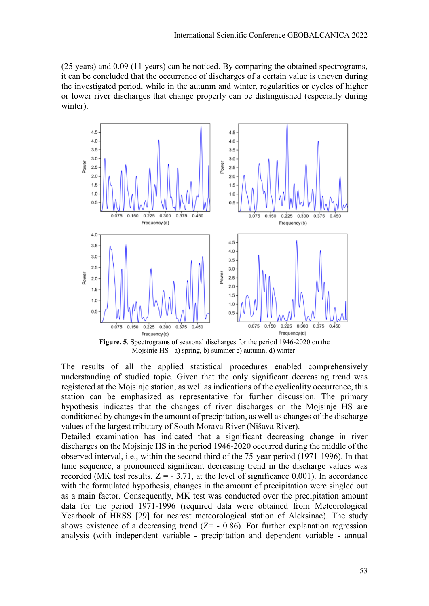(25 years) and 0.09 (11 years) can be noticed. By comparing the obtained spectrograms, it can be concluded that the occurrence of discharges of a certain value is uneven during the investigated period, while in the autumn and winter, regularities or cycles of higher or lower river discharges that change properly can be distinguished (especially during winter).



Mojsinje HS - а) spring, b) summer c) autumn, d) winter.

The results of all the applied statistical procedures enabled comprehensively understanding of studied topic. Given that the only significant decreasing trend was registered at the Mojsinje station, as well as indications of the cyclicality occurrence, this station can be emphasized as representative for further discussion. The primary hypothesis indicates that the changes of river discharges on the Mojsinje HS are conditioned by changes in the amount of precipitation, as well as changes of the discharge values of the largest tributary of South Morava River (Nišava River).

Detailed examination has indicated that a significant decreasing change in river discharges on the Mojsinje HS in the period 1946-2020 occurred during the middle of the observed interval, i.e., within the second third of the 75-year period (1971-1996). In that time sequence, a pronounced significant decreasing trend in the discharge values was recorded (MK test results,  $Z = -3.71$ , at the level of significance 0.001). In accordance with the formulated hypothesis, changes in the amount of precipitation were singled out as a main factor. Consequently, MK test was conducted over the precipitation amount data for the period 1971-1996 (required data were obtained from Meteorological Yearbook of HRSS [29] for nearest meteorological station of Aleksinac). The study shows existence of a decreasing trend  $(Z= -0.86)$ . For further explanation regression analysis (with independent variable - precipitation and dependent variable - annual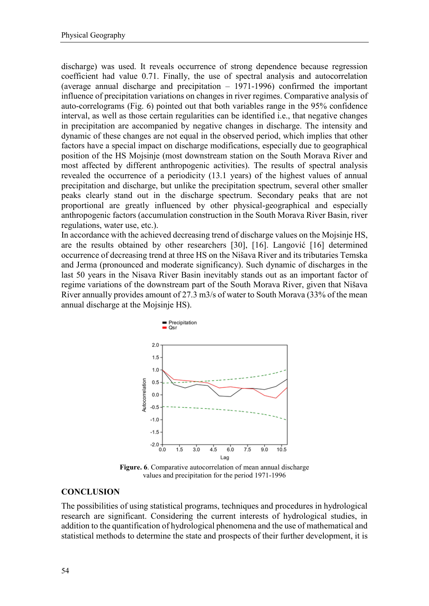discharge) was used. It reveals occurrence of strong dependence because regression coefficient had value 0.71. Finally, the use of spectral analysis and autocorrelation (average annual discharge and precipitation – 1971-1996) confirmed the important influence of precipitation variations on changes in river regimes. Comparative analysis of auto-correlograms (Fig. 6) pointed out that both variables range in the 95% confidence interval, as well as those certain regularities can be identified i.e., that negative changes in precipitation are accompanied by negative changes in discharge. The intensity and dynamic of these changes are not equal in the observed period, which implies that other factors have a special impact on discharge modifications, especially due to geographical position of the HS Mojsinje (most downstream station on the South Morava River and most affected by different anthropogenic activities). The results of spectral analysis revealed the occurrence of a periodicity (13.1 years) of the highest values of annual precipitation and discharge, but unlike the precipitation spectrum, several other smaller peaks clearly stand out in the discharge spectrum. Secondary peaks that are not proportional are greatly influenced by other physical-geographical and especially anthropogenic factors (accumulation construction in the South Morava River Basin, river regulations, water use, etc.).

In accordance with the achieved decreasing trend of discharge values on the Mojsinje HS, are the results obtained by other researchers [30], [16]. Langović [16] determined occurrence of decreasing trend at three HS on the Nišava River and its tributaries Temska and Jerma (pronounced and moderate significancy). Such dynamic of discharges in the last 50 years in the Nisava River Basin inevitably stands out as an important factor of regime variations of the downstream part of the South Morava River, given that Nišava River annually provides amount of 27.3 m3/s of water to South Morava (33% of the mean annual discharge at the Mojsinje HS).



**Figure. 6**. Comparative autocorrelation of mean annual discharge values and precipitation for the period 1971-1996

### **CONCLUSION**

The possibilities of using statistical programs, techniques and procedures in hydrological research are significant. Considering the current interests of hydrological studies, in addition to the quantification of hydrological phenomena and the use of mathematical and statistical methods to determine the state and prospects of their further development, it is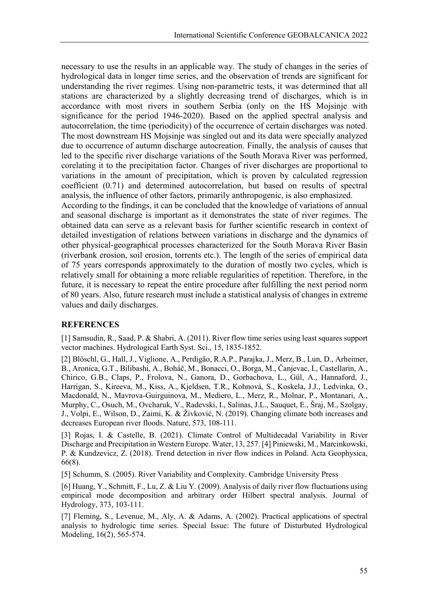necessary to use the results in an applicable way. The study of changes in the series of hydrological data in longer time series, and the observation of trends are significant for understanding the river regimes. Using non-parametric tests, it was determined that all stations are characterized by a slightly decreasing trend of discharges, which is in accordance with most rivers in southern Serbia (only on the HS Mojsinje with significance for the period 1946-2020). Based on the applied spectral analysis and autocorrelation, the time (periodicity) of the occurrence of certain discharges was noted. The most downstream HS Mojsinje was singled out and its data were specially analyzed due to occurrence of autumn discharge autocreation. Finally, the analysis of causes that led to the specific river discharge variations of the South Morava River was performed, corelating it to the precipitation factor. Changes of river discharges are proportional to variations in the amount of precipitation, which is proven by calculated regression coefficient (0.71) and determined autocorrelation, but based on results of spectral analysis, the influence of other factors, primarily anthropogenic, is also emphasized.

According to the findings, it can be concluded that the knowledge of variations of annual and seasonal discharge is important as it demonstrates the state of river regimes. The obtained data can serve as a relevant basis for further scientific research in context of detailed investigation of relations between variations in discharge and the dynamics of other physical-geographical processes characterized for the South Morava River Basin (riverbank erosion, soil erosion, torrents etc.). The length of the series of empirical data of 75 years corresponds approximately to the duration of mostly two cycles, which is relatively small for obtaining a more reliable regularities of repetition. Therefore, in the future, it is necessary to repeat the entire procedure after fulfilling the next period norm of 80 years. Also, future research must include a statistical analysis of changes in extreme values and daily discharges.

### **REFERENCES**

[1] Samsudin, R., Saad, P. & Shabri, A. (2011). River flow time series using least squares support vector machines. Hydrological Earth Syst. Sci., 15, 1835-1852.

[2] Blöschl, G., Hall, J., Viglione, A., Perdigão, R.A.P., Parajka, J., Merz, B., Lun, D., Arheimer, B., Aronica, G.T., Bilibashi, A., Boháč, M., Bonacci, O., Borga, M., Čanjevac, I., Castellarin, A., Chirico, G.B., Claps, P., Frolova, N., Ganora, D., Gorbachova, L., Gül, A., Hannaford, J., Harrigan, S., Kireeva, M., Kiss, A., Kjeldsen, T.R., Kohnová, S., Koskela, J.J., Ledvinka, O., Macdonald, N., Mavrova-Guirguinova, M., Mediero, L., Merz, R., Molnar, P., Montanari, A., Murphy, C., Osuch, M., Ovcharuk, V., Radevski, I., Salinas, J.L., Sauquet, E., Šraj, M., Szolgay, J., Volpi, E., Wilson, D., Zaimi, K. & Živković, N. (2019). Changing climate both increases and decreases European river floods. Nature, 573, 108-111.

[3] Rojas, I. & Castelle, B. (2021). Climate Control of Multidecadal Variability in River Discharge and Precipitation in Western Europe. Water, 13, 257. [4] Piniewski, M., Marcinkowski, P. & Kundzevicz, Z. (2018). Trend detection in river flow indices in Poland. Acta Geophysica, 66(8).

[5] Schumm, S. (2005). River Variability and Complexity. Cambridge University Press

[6] Huang, Y., Schmitt, F., Lu, Z. & Liu Y. (2009). Analysis of daily river flow fluctuations using empirical mode decomposition and arbitrary order Hilbert spectral analysis. Journal of Hydrology, 373, 103-111.

[7] Fleming, S., Levenue, M., Aly, A. & Adams, A. (2002). Practical applications of spectral analysis to hydrologic time series. Special Issue: The future of Disturbuted Hydrological Modeling, 16(2), 565-574.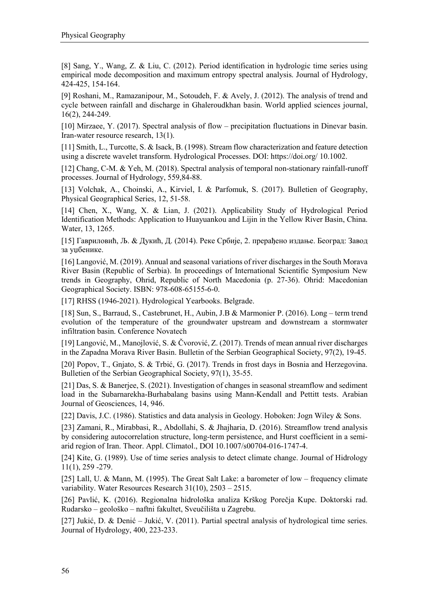[8] Sang, Y., Wang, Z. & Liu, C. (2012). Period identification in hydrologic time series using empirical mode decomposition and maximum entropy spectral analysis. Journal of Hydrology, 424-425, 154-164.

[9] Roshani, M., Ramazanipour, M., Sotoudeh, F. & Avely, J. (2012). The analysis of trend and cycle between rainfall and discharge in Ghaleroudkhan basin. World applied sciences journal, 16(2), 244-249.

[10] Mirzaee, Y. (2017). Spectral analysis of flow – precipitation fluctuations in Dinevar basin. Iran-water resource research, 13(1).

[11] Smith, L., Turcotte, S. & Isack, B. (1998). Stream flow characterization and feature detection using a discrete wavelet transform. Hydrological Processes. DOI: https://doi.org/ 10.1002.

[12] Chang, C-M. & Yeh, M. (2018). Spectral analysis of temporal non-stationary rainfall-runoff processes. Journal of Hydrology, 559,84-88.

[13] Volchak, A., Choinski, A., Kirviel, I. & Parfomuk, S. (2017). Bulletien of Geography, Physical Geographical Series, 12, 51-58.

[14] Chen, X., Wang, X. & Lian, J. (2021). Applicability Study of Hydrological Period Identification Methods: Application to Huayuankou and Lijin in the Yellow River Basin, China. Water, 13, 1265.

[15] Гавриловић, Љ. & Дукић, Д. (2014). Реке Србије, 2. прерађено издање. Београд: Завод за уџбенике.

[16] Langović, M. (2019). Annual and seasonal variations of river discharges in the South Morava River Basin (Republic of Serbia). In proceedings of International Scientific Symposium New trends in Geography, Ohrid, Republic of North Macedonia (p. 27-36). Ohrid: Macedonian Geographical Society. ISBN: 978-608-65155-6-0.

[17] RHSS (1946-2021). Hydrological Yearbooks. Belgrade.

[18] Sun, S., Barraud, S., Castebrunet, H., Aubin, J.B & Marmonier P. (2016). Long – term trend evolution of the temperature of the groundwater upstream and downstream a stormwater infiltration basin. Conference Novatech

[19] Langović, M., Manojlović, S. & Čvorović, Z. (2017). Trends of mean annual river discharges in the Zapadna Morava River Basin. Bulletin of the Serbian Geographical Society, 97(2), 19-45.

[20] Popov, T., Gnjato, S. & Trbić, G. (2017). Trends in frost days in Bosnia and Herzegovina. Bulletien of the Serbian Geographical Society, 97(1), 35-55.

[21] Das, S. & Banerjee, S. (2021). Investigation of changes in seasonal streamflow and sediment load in the Subarnarekha-Burhabalang basins using Mann-Kendall and Pettitt tests. Arabian Journal of Geosciences, 14, 946.

[22] Davis, J.C. (1986). Statistics and data analysis in Geology. Hoboken: Jogn Wiley & Sons.

[23] Zamani, R., Mirabbasi, R., Abdollahi, S. & Jhajharia, D. (2016). Streamflow trend analysis by considering autocorrelation structure, long-term persistence, and Hurst coefficient in a semiarid region of Iran. Theor. Appl. Climatol., DOI 10.1007/s00704-016-1747-4.

[24] Kite, G. (1989). Use of time series analysis to detect climate change. Journal of Hidrology 11(1), 259 -279.

[25] Lall, U. & Mann, M. (1995). The Great Salt Lake: a barometer of low – frequency climate variability. Water Resources Research 31(10), 2503 – 2515.

[26] Pavlić, K. (2016). Regionalna hidrološka analiza Krškog Porečja Kupe. Doktorski rad. Rudarsko – geološko – naftni fakultet, Sveučilišta u Zagrebu.

[27] Jukić, D. & Denić – Jukić, V. (2011). Partial spectral analysis of hydrological time series. Journal of Hydrology, 400, 223-233.